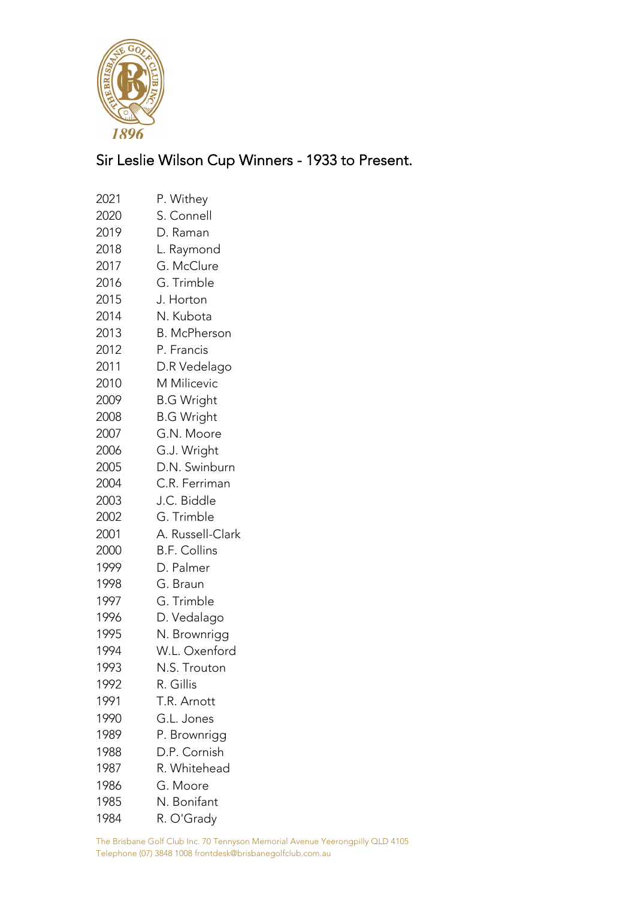

## Sir Leslie Wilson Cup Winners - 1933 to Present.

| 2021 | P. Withey           |
|------|---------------------|
|      |                     |
| 2020 | S. Connell          |
| 2019 | D. Raman            |
| 2018 | L. Raymond          |
| 2017 | G. McClure          |
| 2016 | G. Trimble          |
| 2015 | J. Horton           |
| 2014 | N. Kubota           |
| 2013 | <b>B. McPherson</b> |
| 2012 | P. Francis          |
| 2011 | D.R Vedelago        |
| 2010 | M Milicevic         |
| 2009 | <b>B.G Wright</b>   |
| 2008 | <b>B.G Wright</b>   |
| 2007 | G.N. Moore          |
| 2006 | G.J. Wright         |
| 2005 | D.N. Swinburn       |
| 2004 | C.R. Ferriman       |
| 2003 | J.C. Biddle         |
| 2002 | G. Trimble          |
| 2001 | A. Russell-Clark    |
| 2000 | <b>B.F. Collins</b> |
| 1999 | D. Palmer           |
| 1998 | G. Braun            |
| 1997 | G. Trimble          |
| 1996 | D. Vedalago         |
| 1995 | N. Brownrigg        |
| 1994 | W.L. Oxenford       |
| 1993 | N.S. Trouton        |
| 1992 | R. Gillis           |
| 1991 | T.R. Arnott         |
| 1990 | G.L. Jones          |
| 1989 | P. Brownrigg        |
| 1988 | D.P. Cornish        |
| 1987 | R. Whitehead        |
| 1986 | G. Moore            |
| 1985 | N. Bonifant         |
| 1984 | R. O'Grady          |

The Brisbane Golf Club Inc. 70 Tennyson Memorial Avenue Yeerongpilly QLD 4105 Telephone (07) 3848 1008 frontdesk@brisbanegolfclub.com.au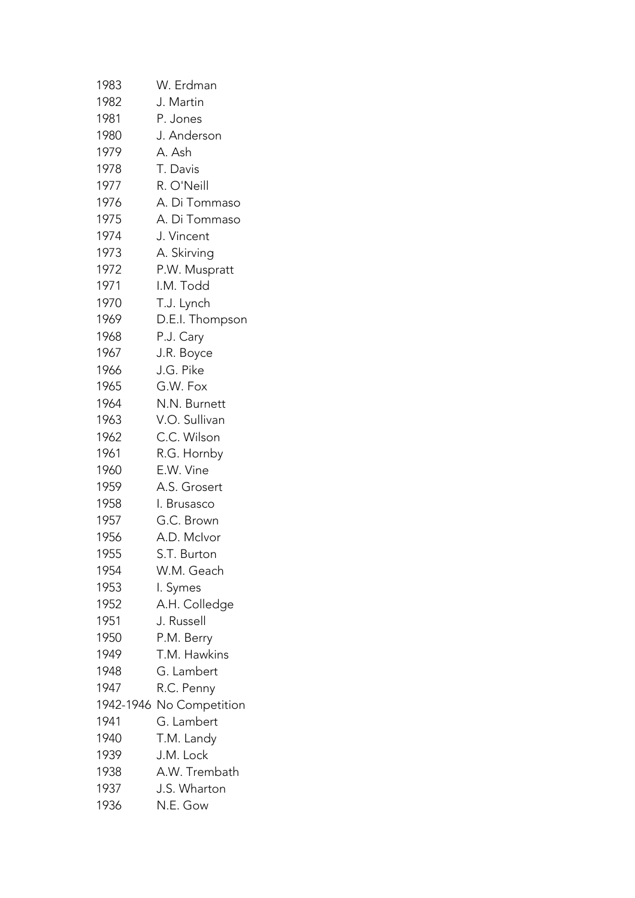| 1983 | W. Erdman                |
|------|--------------------------|
| 1982 | J. Martin                |
| 1981 | P. Jones                 |
| 1980 | J. Anderson              |
| 1979 | A. Ash                   |
| 1978 | T. Davis                 |
| 1977 | R. O'Neill               |
| 1976 | A. Di Tommaso            |
| 1975 | A. Di Tommaso            |
| 1974 | J. Vincent               |
| 1973 | A. Skirving              |
| 1972 | P.W. Muspratt            |
| 1971 | I.M. Todd                |
| 1970 | T.J. Lynch               |
| 1969 | D.E.I. Thompson          |
| 1968 | P.J. Cary                |
| 1967 | J.R. Boyce               |
| 1966 | J.G. Pike                |
| 1965 | G.W. Fox                 |
| 1964 | N.N. Burnett             |
| 1963 | V.O. Sullivan            |
| 1962 | C.C. Wilson              |
| 1961 | R.G. Hornby              |
| 1960 | E.W. Vine                |
| 1959 | A.S. Grosert             |
| 1958 | I. Brusasco              |
| 1957 | G.C. Brown               |
| 1956 | A.D. McIvor              |
| 1955 | S.T. Burton              |
| 1954 | W.M. Geach               |
| 1953 | I. Symes                 |
| 1952 | A.H. Colledge            |
| 1951 | J. Russell               |
| 1950 | P.M. Berry               |
| 1949 | T.M. Hawkins             |
| 1948 | G. Lambert               |
| 1947 | R.C. Penny               |
|      | 1942-1946 No Competition |
| 1941 | G. Lambert               |
| 1940 | T.M. Landy               |
| 1939 | J.M. Lock                |
| 1938 | A.W. Trembath            |
| 1937 | J.S. Wharton             |
| 1936 | N.E. Gow                 |